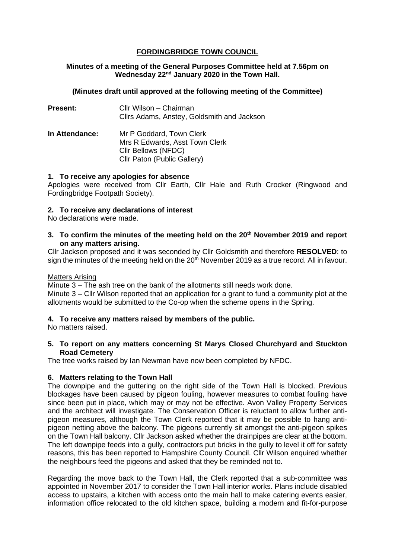# **FORDINGBRIDGE TOWN COUNCIL**

# **Minutes of a meeting of the General Purposes Committee held at 7.56pm on Wednesday 22nd January 2020 in the Town Hall.**

### **(Minutes draft until approved at the following meeting of the Committee)**

| <b>Present:</b> | Cllr Wilson - Chairman<br>Cllrs Adams, Anstey, Goldsmith and Jackson                                             |
|-----------------|------------------------------------------------------------------------------------------------------------------|
| In Attendance:  | Mr P Goddard, Town Clerk<br>Mrs R Edwards, Asst Town Clerk<br>Cllr Bellows (NFDC)<br>Cllr Paton (Public Gallery) |

#### **1. To receive any apologies for absence**

Apologies were received from Cllr Earth, Cllr Hale and Ruth Crocker (Ringwood and Fordingbridge Footpath Society).

#### **2. To receive any declarations of interest**

No declarations were made.

#### **3. To confirm the minutes of the meeting held on the 20th November 2019 and report on any matters arising.**

Cllr Jackson proposed and it was seconded by Cllr Goldsmith and therefore **RESOLVED**: to sign the minutes of the meeting held on the 20<sup>th</sup> November 2019 as a true record. All in favour.

#### Matters Arising

Minute 3 – The ash tree on the bank of the allotments still needs work done. Minute 3 – Cllr Wilson reported that an application for a grant to fund a community plot at the allotments would be submitted to the Co-op when the scheme opens in the Spring.

# **4. To receive any matters raised by members of the public.**

No matters raised.

#### **5. To report on any matters concerning St Marys Closed Churchyard and Stuckton Road Cemetery**

The tree works raised by Ian Newman have now been completed by NFDC.

# **6. Matters relating to the Town Hall**

The downpipe and the guttering on the right side of the Town Hall is blocked. Previous blockages have been caused by pigeon fouling, however measures to combat fouling have since been put in place, which may or may not be effective. Avon Valley Property Services and the architect will investigate. The Conservation Officer is reluctant to allow further antipigeon measures, although the Town Clerk reported that it may be possible to hang antipigeon netting above the balcony. The pigeons currently sit amongst the anti-pigeon spikes on the Town Hall balcony. Cllr Jackson asked whether the drainpipes are clear at the bottom. The left downpipe feeds into a gully, contractors put bricks in the gully to level it off for safety reasons, this has been reported to Hampshire County Council. Cllr Wilson enquired whether the neighbours feed the pigeons and asked that they be reminded not to.

Regarding the move back to the Town Hall, the Clerk reported that a sub-committee was appointed in November 2017 to consider the Town Hall interior works. Plans include disabled access to upstairs, a kitchen with access onto the main hall to make catering events easier, information office relocated to the old kitchen space, building a modern and fit-for-purpose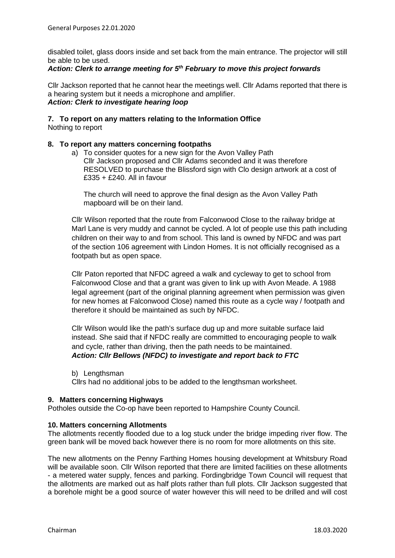disabled toilet, glass doors inside and set back from the main entrance. The projector will still be able to be used.

### *Action: Clerk to arrange meeting for 5th February to move this project forwards*

Cllr Jackson reported that he cannot hear the meetings well. Cllr Adams reported that there is a hearing system but it needs a microphone and amplifier. *Action: Clerk to investigate hearing loop*

# **7. To report on any matters relating to the Information Office**

Nothing to report

# **8. To report any matters concerning footpaths**

a) To consider quotes for a new sign for the Avon Valley Path Cllr Jackson proposed and Cllr Adams seconded and it was therefore RESOLVED to purchase the Blissford sign with Clo design artwork at a cost of £335 + £240. All in favour

The church will need to approve the final design as the Avon Valley Path mapboard will be on their land.

Cllr Wilson reported that the route from Falconwood Close to the railway bridge at Marl Lane is very muddy and cannot be cycled. A lot of people use this path including children on their way to and from school. This land is owned by NFDC and was part of the section 106 agreement with Lindon Homes. It is not officially recognised as a footpath but as open space.

Cllr Paton reported that NFDC agreed a walk and cycleway to get to school from Falconwood Close and that a grant was given to link up with Avon Meade. A 1988 legal agreement (part of the original planning agreement when permission was given for new homes at Falconwood Close) named this route as a cycle way / footpath and therefore it should be maintained as such by NFDC.

Cllr Wilson would like the path's surface dug up and more suitable surface laid instead. She said that if NFDC really are committed to encouraging people to walk and cycle, rather than driving, then the path needs to be maintained. *Action: Cllr Bellows (NFDC) to investigate and report back to FTC*

b) Lengthsman

Cllrs had no additional jobs to be added to the lengthsman worksheet.

#### **9. Matters concerning Highways**

Potholes outside the Co-op have been reported to Hampshire County Council.

#### **10. Matters concerning Allotments**

The allotments recently flooded due to a log stuck under the bridge impeding river flow. The green bank will be moved back however there is no room for more allotments on this site.

The new allotments on the Penny Farthing Homes housing development at Whitsbury Road will be available soon. Cllr Wilson reported that there are limited facilities on these allotments - a metered water supply, fences and parking. Fordingbridge Town Council will request that the allotments are marked out as half plots rather than full plots. Cllr Jackson suggested that a borehole might be a good source of water however this will need to be drilled and will cost